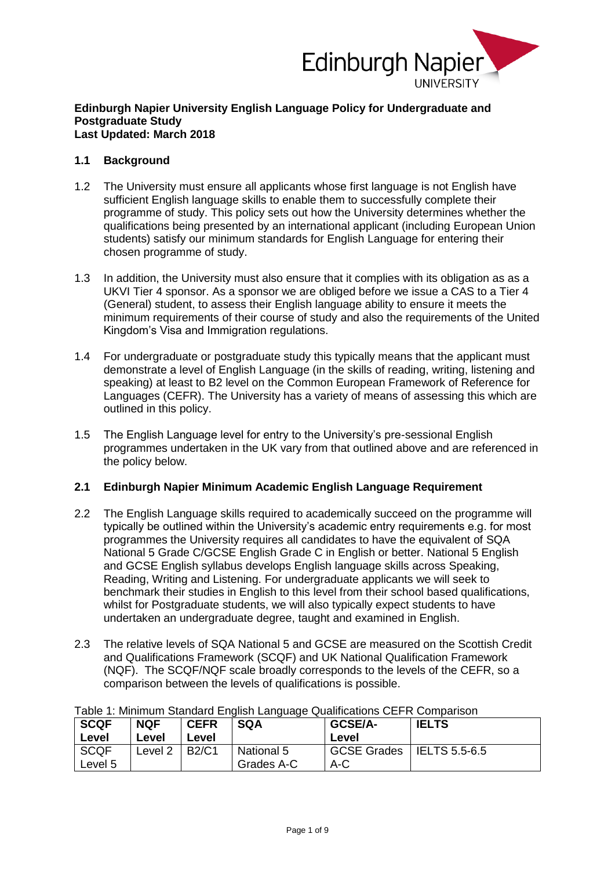

#### **Edinburgh Napier University English Language Policy for Undergraduate and Postgraduate Study Last Updated: March 2018**

### **1.1 Background**

- 1.2 The University must ensure all applicants whose first language is not English have sufficient English language skills to enable them to successfully complete their programme of study. This policy sets out how the University determines whether the qualifications being presented by an international applicant (including European Union students) satisfy our minimum standards for English Language for entering their chosen programme of study.
- 1.3 In addition, the University must also ensure that it complies with its obligation as as a UKVI Tier 4 sponsor. As a sponsor we are obliged before we issue a CAS to a Tier 4 (General) student, to assess their English language ability to ensure it meets the minimum requirements of their course of study and also the requirements of the United Kingdom's Visa and Immigration regulations.
- 1.4 For undergraduate or postgraduate study this typically means that the applicant must demonstrate a level of English Language (in the skills of reading, writing, listening and speaking) at least to B2 level on the Common European Framework of Reference for Languages (CEFR). The University has a variety of means of assessing this which are outlined in this policy.
- 1.5 The English Language level for entry to the University's pre-sessional English programmes undertaken in the UK vary from that outlined above and are referenced in the policy below.

### **2.1 Edinburgh Napier Minimum Academic English Language Requirement**

- 2.2 The English Language skills required to academically succeed on the programme will typically be outlined within the University's academic entry requirements e.g. for most programmes the University requires all candidates to have the equivalent of SQA National 5 Grade C/GCSE English Grade C in English or better. National 5 English and GCSE English syllabus develops English language skills across Speaking, Reading, Writing and Listening. For undergraduate applicants we will seek to benchmark their studies in English to this level from their school based qualifications, whilst for Postgraduate students, we will also typically expect students to have undertaken an undergraduate degree, taught and examined in English.
- 2.3 The relative levels of SQA National 5 and GCSE are measured on the Scottish Credit and Qualifications Framework (SCQF) and UK National Qualification Framework (NQF). The SCQF/NQF scale broadly corresponds to the levels of the CEFR, so a comparison between the levels of qualifications is possible.

| Table T. Millillium Qianuaru Liigiish Language Qualincations CLT IN Companson |            |              |            |                    |                      |
|-------------------------------------------------------------------------------|------------|--------------|------------|--------------------|----------------------|
| <b>SCQF</b>                                                                   | <b>NQF</b> | <b>CEFR</b>  | <b>SQA</b> | <b>GCSE/A-</b>     | <b>IELTS</b>         |
| Level                                                                         | Level      | Level        |            | Level              |                      |
| <b>SCQF</b>                                                                   | Level 2    | <b>B2/C1</b> | National 5 | <b>GCSE Grades</b> | <b>IELTS 5.5-6.5</b> |
| Level 5                                                                       |            |              | Grades A-C | A-C                |                      |

# Table 1: Minimum Standard English Language Qualifications CEFR Comparison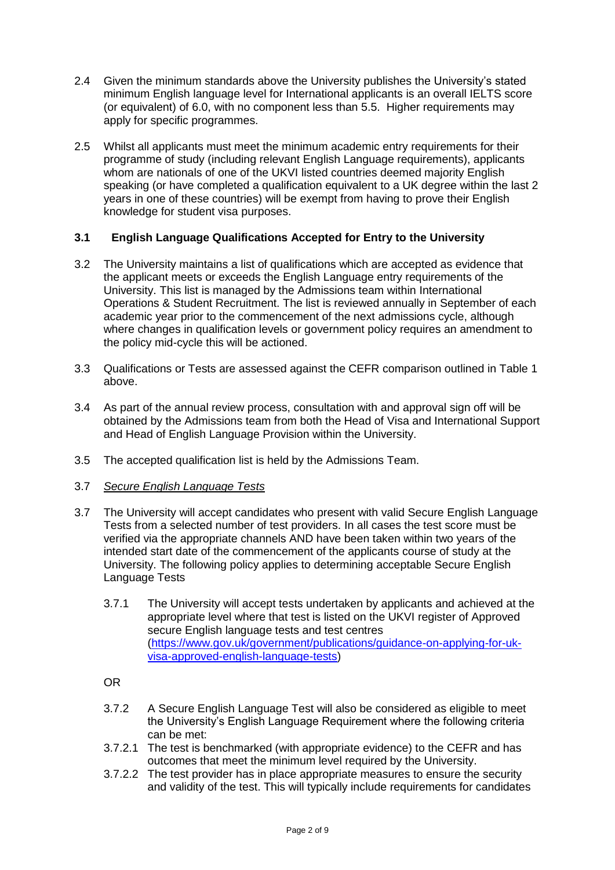- 2.4 Given the minimum standards above the University publishes the University's stated minimum English language level for International applicants is an overall IELTS score (or equivalent) of 6.0, with no component less than 5.5. Higher requirements may apply for specific programmes.
- 2.5 Whilst all applicants must meet the minimum academic entry requirements for their programme of study (including relevant English Language requirements), applicants whom are nationals of one of the UKVI listed countries deemed majority English speaking (or have completed a qualification equivalent to a UK degree within the last 2 years in one of these countries) will be exempt from having to prove their English knowledge for student visa purposes.

## **3.1 English Language Qualifications Accepted for Entry to the University**

- 3.2 The University maintains a list of qualifications which are accepted as evidence that the applicant meets or exceeds the English Language entry requirements of the University. This list is managed by the Admissions team within International Operations & Student Recruitment. The list is reviewed annually in September of each academic year prior to the commencement of the next admissions cycle, although where changes in qualification levels or government policy requires an amendment to the policy mid-cycle this will be actioned.
- 3.3 Qualifications or Tests are assessed against the CEFR comparison outlined in Table 1 above.
- 3.4 As part of the annual review process, consultation with and approval sign off will be obtained by the Admissions team from both the Head of Visa and International Support and Head of English Language Provision within the University.
- 3.5 The accepted qualification list is held by the Admissions Team.

### 3.7 *Secure English Language Tests*

- 3.7 The University will accept candidates who present with valid Secure English Language Tests from a selected number of test providers. In all cases the test score must be verified via the appropriate channels AND have been taken within two years of the intended start date of the commencement of the applicants course of study at the University. The following policy applies to determining acceptable Secure English Language Tests
	- 3.7.1 The University will accept tests undertaken by applicants and achieved at the appropriate level where that test is listed on the UKVI register of Approved secure English language tests and test centres [\(https://www.gov.uk/government/publications/guidance-on-applying-for-uk](https://www.gov.uk/government/publications/guidance-on-applying-for-uk-visa-approved-english-language-tests)[visa-approved-english-language-tests\)](https://www.gov.uk/government/publications/guidance-on-applying-for-uk-visa-approved-english-language-tests)

OR

- 3.7.2 A Secure English Language Test will also be considered as eligible to meet the University's English Language Requirement where the following criteria can be met:
- 3.7.2.1 The test is benchmarked (with appropriate evidence) to the CEFR and has outcomes that meet the minimum level required by the University.
- 3.7.2.2 The test provider has in place appropriate measures to ensure the security and validity of the test. This will typically include requirements for candidates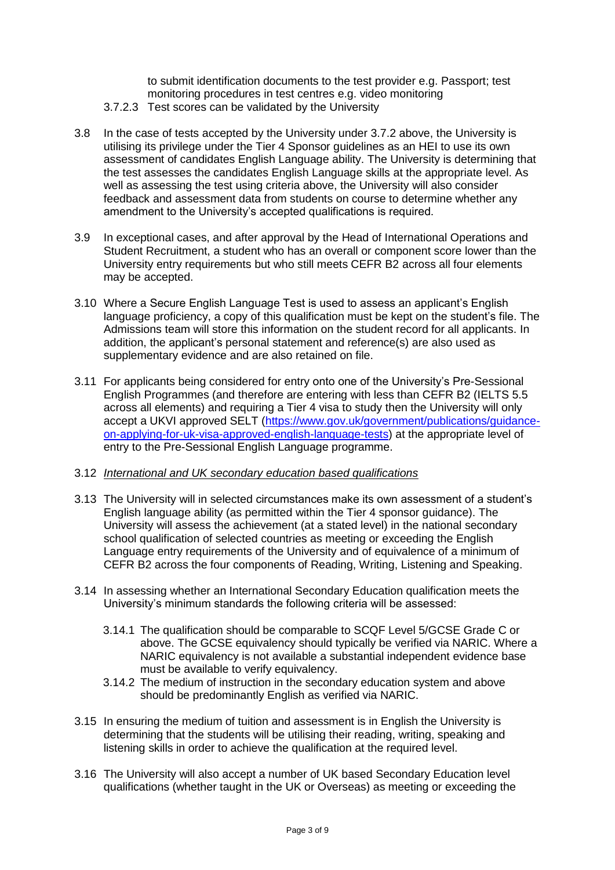to submit identification documents to the test provider e.g. Passport; test monitoring procedures in test centres e.g. video monitoring

- 3.7.2.3 Test scores can be validated by the University
- 3.8 In the case of tests accepted by the University under 3.7.2 above, the University is utilising its privilege under the Tier 4 Sponsor guidelines as an HEI to use its own assessment of candidates English Language ability. The University is determining that the test assesses the candidates English Language skills at the appropriate level. As well as assessing the test using criteria above, the University will also consider feedback and assessment data from students on course to determine whether any amendment to the University's accepted qualifications is required.
- 3.9 In exceptional cases, and after approval by the Head of International Operations and Student Recruitment, a student who has an overall or component score lower than the University entry requirements but who still meets CEFR B2 across all four elements may be accepted.
- 3.10 Where a Secure English Language Test is used to assess an applicant's English language proficiency, a copy of this qualification must be kept on the student's file. The Admissions team will store this information on the student record for all applicants. In addition, the applicant's personal statement and reference(s) are also used as supplementary evidence and are also retained on file.
- 3.11 For applicants being considered for entry onto one of the University's Pre-Sessional English Programmes (and therefore are entering with less than CEFR B2 (IELTS 5.5 across all elements) and requiring a Tier 4 visa to study then the University will only accept a UKVI approved SELT [\(https://www.gov.uk/government/publications/guidance](https://www.gov.uk/government/publications/guidance-on-applying-for-uk-visa-approved-english-language-tests)[on-applying-for-uk-visa-approved-english-language-tests\)](https://www.gov.uk/government/publications/guidance-on-applying-for-uk-visa-approved-english-language-tests) at the appropriate level of entry to the Pre-Sessional English Language programme.

#### 3.12 *International and UK secondary education based qualifications*

- 3.13 The University will in selected circumstances make its own assessment of a student's English language ability (as permitted within the Tier 4 sponsor guidance). The University will assess the achievement (at a stated level) in the national secondary school qualification of selected countries as meeting or exceeding the English Language entry requirements of the University and of equivalence of a minimum of CEFR B2 across the four components of Reading, Writing, Listening and Speaking.
- 3.14 In assessing whether an International Secondary Education qualification meets the University's minimum standards the following criteria will be assessed:
	- 3.14.1 The qualification should be comparable to SCQF Level 5/GCSE Grade C or above. The GCSE equivalency should typically be verified via NARIC. Where a NARIC equivalency is not available a substantial independent evidence base must be available to verify equivalency.
	- 3.14.2 The medium of instruction in the secondary education system and above should be predominantly English as verified via NARIC.
- 3.15 In ensuring the medium of tuition and assessment is in English the University is determining that the students will be utilising their reading, writing, speaking and listening skills in order to achieve the qualification at the required level.
- 3.16 The University will also accept a number of UK based Secondary Education level qualifications (whether taught in the UK or Overseas) as meeting or exceeding the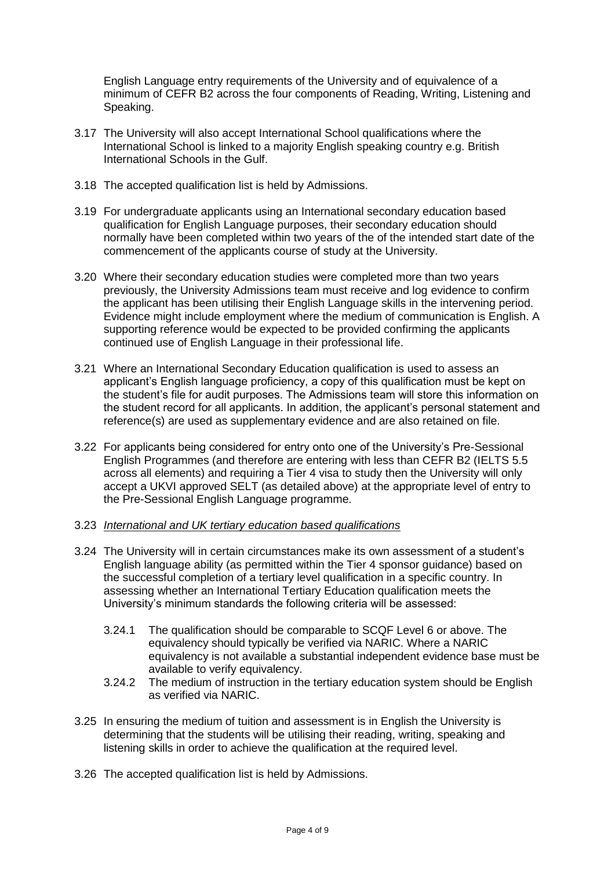English Language entry requirements of the University and of equivalence of a minimum of CEFR B2 across the four components of Reading, Writing, Listening and Speaking.

- 3.17 The University will also accept International School qualifications where the International School is linked to a majority English speaking country e.g. British International Schools in the Gulf.
- 3.18 The accepted qualification list is held by Admissions.
- 3.19 For undergraduate applicants using an International secondary education based qualification for English Language purposes, their secondary education should normally have been completed within two years of the of the intended start date of the commencement of the applicants course of study at the University.
- 3.20 Where their secondary education studies were completed more than two years previously, the University Admissions team must receive and log evidence to confirm the applicant has been utilising their English Language skills in the intervening period. Evidence might include employment where the medium of communication is English. A supporting reference would be expected to be provided confirming the applicants continued use of English Language in their professional life.
- 3.21 Where an International Secondary Education qualification is used to assess an applicant's English language proficiency, a copy of this qualification must be kept on the student's file for audit purposes. The Admissions team will store this information on the student record for all applicants. In addition, the applicant's personal statement and reference(s) are used as supplementary evidence and are also retained on file.
- 3.22 For applicants being considered for entry onto one of the University's Pre-Sessional English Programmes (and therefore are entering with less than CEFR B2 (IELTS 5.5 across all elements) and requiring a Tier 4 visa to study then the University will only accept a UKVI approved SELT (as detailed above) at the appropriate level of entry to the Pre-Sessional English Language programme.
- 3.23 *International and UK tertiary education based qualifications*
- 3.24 The University will in certain circumstances make its own assessment of a student's English language ability (as permitted within the Tier 4 sponsor guidance) based on the successful completion of a tertiary level qualification in a specific country. In assessing whether an International Tertiary Education qualification meets the University's minimum standards the following criteria will be assessed:
	- 3.24.1 The qualification should be comparable to SCQF Level 6 or above. The equivalency should typically be verified via NARIC. Where a NARIC equivalency is not available a substantial independent evidence base must be available to verify equivalency.
	- 3.24.2 The medium of instruction in the tertiary education system should be English as verified via NARIC.
- 3.25 In ensuring the medium of tuition and assessment is in English the University is determining that the students will be utilising their reading, writing, speaking and listening skills in order to achieve the qualification at the required level.
- 3.26 The accepted qualification list is held by Admissions.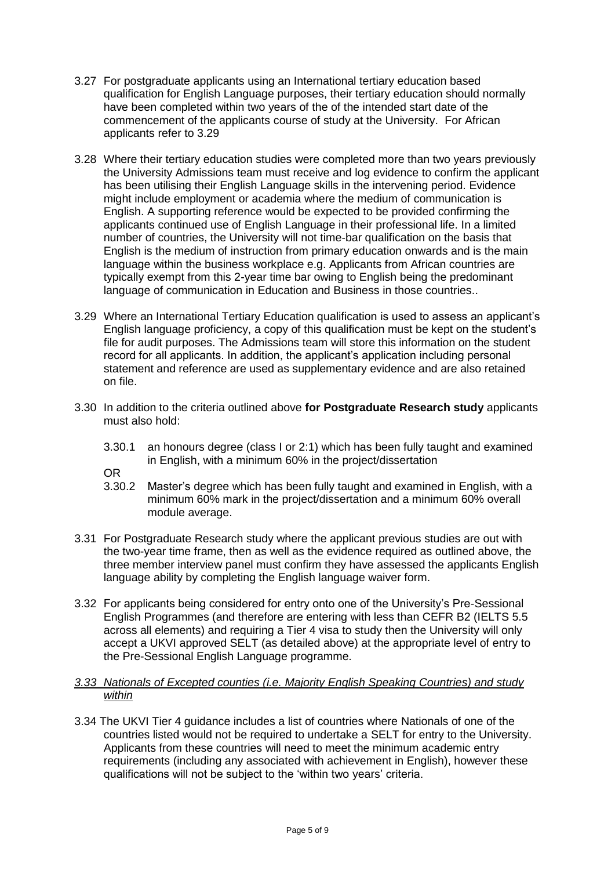- 3.27 For postgraduate applicants using an International tertiary education based qualification for English Language purposes, their tertiary education should normally have been completed within two years of the of the intended start date of the commencement of the applicants course of study at the University. For African applicants refer to 3.29
- 3.28 Where their tertiary education studies were completed more than two years previously the University Admissions team must receive and log evidence to confirm the applicant has been utilising their English Language skills in the intervening period. Evidence might include employment or academia where the medium of communication is English. A supporting reference would be expected to be provided confirming the applicants continued use of English Language in their professional life. In a limited number of countries, the University will not time-bar qualification on the basis that English is the medium of instruction from primary education onwards and is the main language within the business workplace e.g. Applicants from African countries are typically exempt from this 2-year time bar owing to English being the predominant language of communication in Education and Business in those countries..
- 3.29 Where an International Tertiary Education qualification is used to assess an applicant's English language proficiency, a copy of this qualification must be kept on the student's file for audit purposes. The Admissions team will store this information on the student record for all applicants. In addition, the applicant's application including personal statement and reference are used as supplementary evidence and are also retained on file.
- 3.30 In addition to the criteria outlined above **for Postgraduate Research study** applicants must also hold:
	- 3.30.1 an honours degree (class I or 2:1) which has been fully taught and examined in English, with a minimum 60% in the project/dissertation

OR

- 3.30.2 Master's degree which has been fully taught and examined in English, with a minimum 60% mark in the project/dissertation and a minimum 60% overall module average.
- 3.31 For Postgraduate Research study where the applicant previous studies are out with the two-year time frame, then as well as the evidence required as outlined above, the three member interview panel must confirm they have assessed the applicants English language ability by completing the English language waiver form.
- 3.32 For applicants being considered for entry onto one of the University's Pre-Sessional English Programmes (and therefore are entering with less than CEFR B2 (IELTS 5.5 across all elements) and requiring a Tier 4 visa to study then the University will only accept a UKVI approved SELT (as detailed above) at the appropriate level of entry to the Pre-Sessional English Language programme.

### *3.33 Nationals of Excepted counties (i.e. Majority English Speaking Countries) and study within*

3.34 The UKVI Tier 4 guidance includes a list of countries where Nationals of one of the countries listed would not be required to undertake a SELT for entry to the University. Applicants from these countries will need to meet the minimum academic entry requirements (including any associated with achievement in English), however these qualifications will not be subject to the 'within two years' criteria.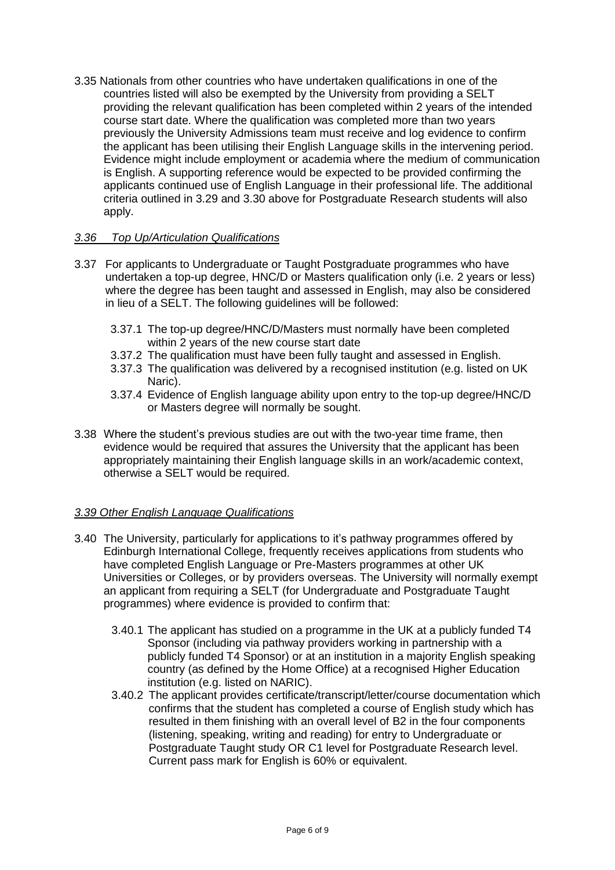3.35 Nationals from other countries who have undertaken qualifications in one of the countries listed will also be exempted by the University from providing a SELT providing the relevant qualification has been completed within 2 years of the intended course start date. Where the qualification was completed more than two years previously the University Admissions team must receive and log evidence to confirm the applicant has been utilising their English Language skills in the intervening period. Evidence might include employment or academia where the medium of communication is English. A supporting reference would be expected to be provided confirming the applicants continued use of English Language in their professional life. The additional criteria outlined in 3.29 and 3.30 above for Postgraduate Research students will also apply.

### *3.36 Top Up/Articulation Qualifications*

- 3.37 For applicants to Undergraduate or Taught Postgraduate programmes who have undertaken a top-up degree, HNC/D or Masters qualification only (i.e. 2 years or less) where the degree has been taught and assessed in English, may also be considered in lieu of a SELT. The following guidelines will be followed:
	- 3.37.1 The top-up degree/HNC/D/Masters must normally have been completed within 2 years of the new course start date
	- 3.37.2 The qualification must have been fully taught and assessed in English.
	- 3.37.3 The qualification was delivered by a recognised institution (e.g. listed on UK Naric).
	- 3.37.4 Evidence of English language ability upon entry to the top-up degree/HNC/D or Masters degree will normally be sought.
- 3.38 Where the student's previous studies are out with the two-year time frame, then evidence would be required that assures the University that the applicant has been appropriately maintaining their English language skills in an work/academic context, otherwise a SELT would be required.

## *3.39 Other English Language Qualifications*

- 3.40 The University, particularly for applications to it's pathway programmes offered by Edinburgh International College, frequently receives applications from students who have completed English Language or Pre-Masters programmes at other UK Universities or Colleges, or by providers overseas. The University will normally exempt an applicant from requiring a SELT (for Undergraduate and Postgraduate Taught programmes) where evidence is provided to confirm that:
	- 3.40.1 The applicant has studied on a programme in the UK at a publicly funded T4 Sponsor (including via pathway providers working in partnership with a publicly funded T4 Sponsor) or at an institution in a majority English speaking country (as defined by the Home Office) at a recognised Higher Education institution (e.g. listed on NARIC).
	- 3.40.2 The applicant provides certificate/transcript/letter/course documentation which confirms that the student has completed a course of English study which has resulted in them finishing with an overall level of B2 in the four components (listening, speaking, writing and reading) for entry to Undergraduate or Postgraduate Taught study OR C1 level for Postgraduate Research level. Current pass mark for English is 60% or equivalent.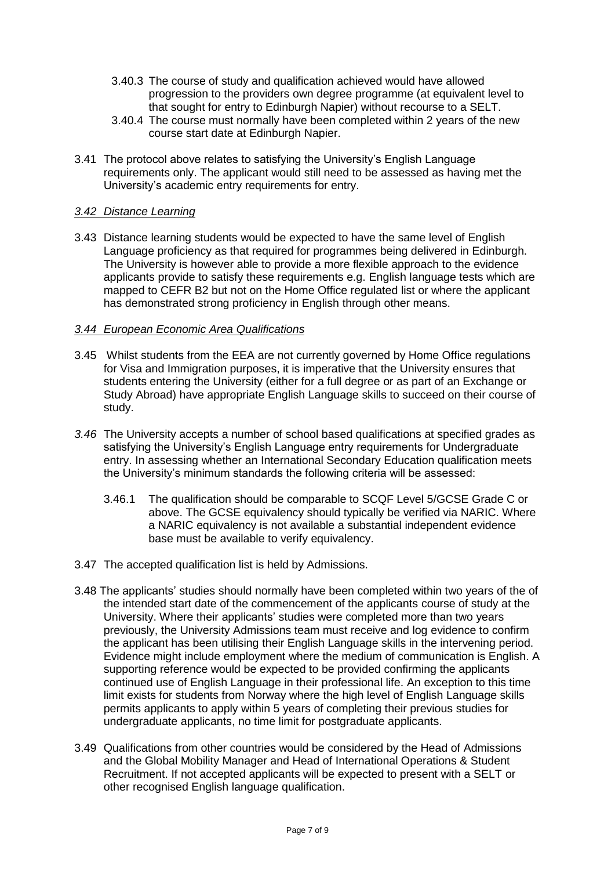- 3.40.3 The course of study and qualification achieved would have allowed progression to the providers own degree programme (at equivalent level to that sought for entry to Edinburgh Napier) without recourse to a SELT.
- 3.40.4 The course must normally have been completed within 2 years of the new course start date at Edinburgh Napier.
- 3.41 The protocol above relates to satisfying the University's English Language requirements only. The applicant would still need to be assessed as having met the University's academic entry requirements for entry.

### *3.42 Distance Learning*

3.43 Distance learning students would be expected to have the same level of English Language proficiency as that required for programmes being delivered in Edinburgh. The University is however able to provide a more flexible approach to the evidence applicants provide to satisfy these requirements e.g. English language tests which are mapped to CEFR B2 but not on the Home Office regulated list or where the applicant has demonstrated strong proficiency in English through other means.

#### *3.44 European Economic Area Qualifications*

- 3.45 Whilst students from the EEA are not currently governed by Home Office regulations for Visa and Immigration purposes, it is imperative that the University ensures that students entering the University (either for a full degree or as part of an Exchange or Study Abroad) have appropriate English Language skills to succeed on their course of study.
- *3.46* The University accepts a number of school based qualifications at specified grades as satisfying the University's English Language entry requirements for Undergraduate entry. In assessing whether an International Secondary Education qualification meets the University's minimum standards the following criteria will be assessed:
	- 3.46.1 The qualification should be comparable to SCQF Level 5/GCSE Grade C or above. The GCSE equivalency should typically be verified via NARIC. Where a NARIC equivalency is not available a substantial independent evidence base must be available to verify equivalency.
- 3.47 The accepted qualification list is held by Admissions.
- 3.48 The applicants' studies should normally have been completed within two years of the of the intended start date of the commencement of the applicants course of study at the University. Where their applicants' studies were completed more than two years previously, the University Admissions team must receive and log evidence to confirm the applicant has been utilising their English Language skills in the intervening period. Evidence might include employment where the medium of communication is English. A supporting reference would be expected to be provided confirming the applicants continued use of English Language in their professional life. An exception to this time limit exists for students from Norway where the high level of English Language skills permits applicants to apply within 5 years of completing their previous studies for undergraduate applicants, no time limit for postgraduate applicants.
- 3.49 Qualifications from other countries would be considered by the Head of Admissions and the Global Mobility Manager and Head of International Operations & Student Recruitment. If not accepted applicants will be expected to present with a SELT or other recognised English language qualification.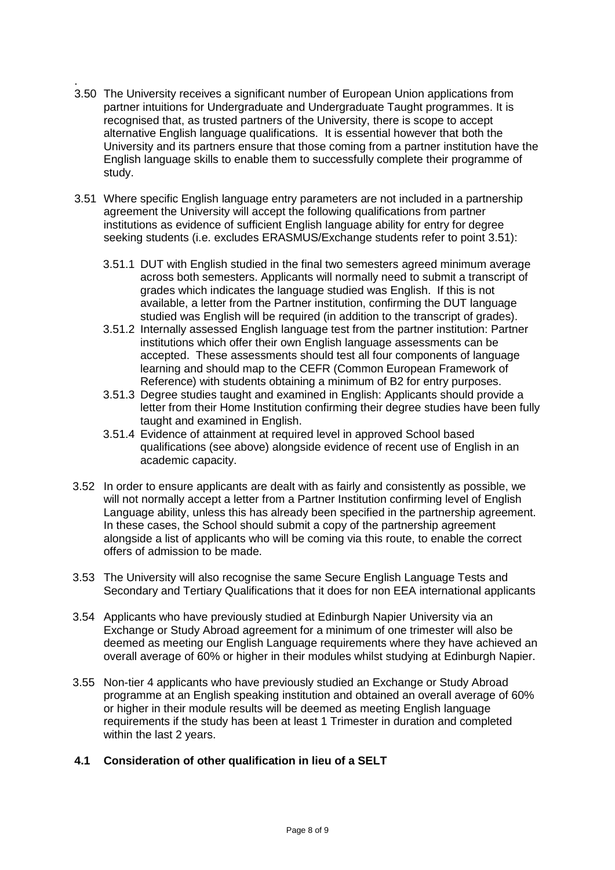- . 3.50 The University receives a significant number of European Union applications from partner intuitions for Undergraduate and Undergraduate Taught programmes. It is recognised that, as trusted partners of the University, there is scope to accept alternative English language qualifications. It is essential however that both the University and its partners ensure that those coming from a partner institution have the English language skills to enable them to successfully complete their programme of study.
- 3.51 Where specific English language entry parameters are not included in a partnership agreement the University will accept the following qualifications from partner institutions as evidence of sufficient English language ability for entry for degree seeking students (i.e. excludes ERASMUS/Exchange students refer to point 3.51):
	- 3.51.1 DUT with English studied in the final two semesters agreed minimum average across both semesters. Applicants will normally need to submit a transcript of grades which indicates the language studied was English. If this is not available, a letter from the Partner institution, confirming the DUT language studied was English will be required (in addition to the transcript of grades).
	- 3.51.2 Internally assessed English language test from the partner institution: Partner institutions which offer their own English language assessments can be accepted. These assessments should test all four components of language learning and should map to the CEFR (Common European Framework of Reference) with students obtaining a minimum of B2 for entry purposes.
	- 3.51.3 Degree studies taught and examined in English: Applicants should provide a letter from their Home Institution confirming their degree studies have been fully taught and examined in English.
	- 3.51.4 Evidence of attainment at required level in approved School based qualifications (see above) alongside evidence of recent use of English in an academic capacity.
- 3.52 In order to ensure applicants are dealt with as fairly and consistently as possible, we will not normally accept a letter from a Partner Institution confirming level of English Language ability, unless this has already been specified in the partnership agreement. In these cases, the School should submit a copy of the partnership agreement alongside a list of applicants who will be coming via this route, to enable the correct offers of admission to be made.
- 3.53 The University will also recognise the same Secure English Language Tests and Secondary and Tertiary Qualifications that it does for non EEA international applicants
- 3.54 Applicants who have previously studied at Edinburgh Napier University via an Exchange or Study Abroad agreement for a minimum of one trimester will also be deemed as meeting our English Language requirements where they have achieved an overall average of 60% or higher in their modules whilst studying at Edinburgh Napier.
- 3.55 Non-tier 4 applicants who have previously studied an Exchange or Study Abroad programme at an English speaking institution and obtained an overall average of 60% or higher in their module results will be deemed as meeting English language requirements if the study has been at least 1 Trimester in duration and completed within the last 2 years.
- **4.1 Consideration of other qualification in lieu of a SELT**